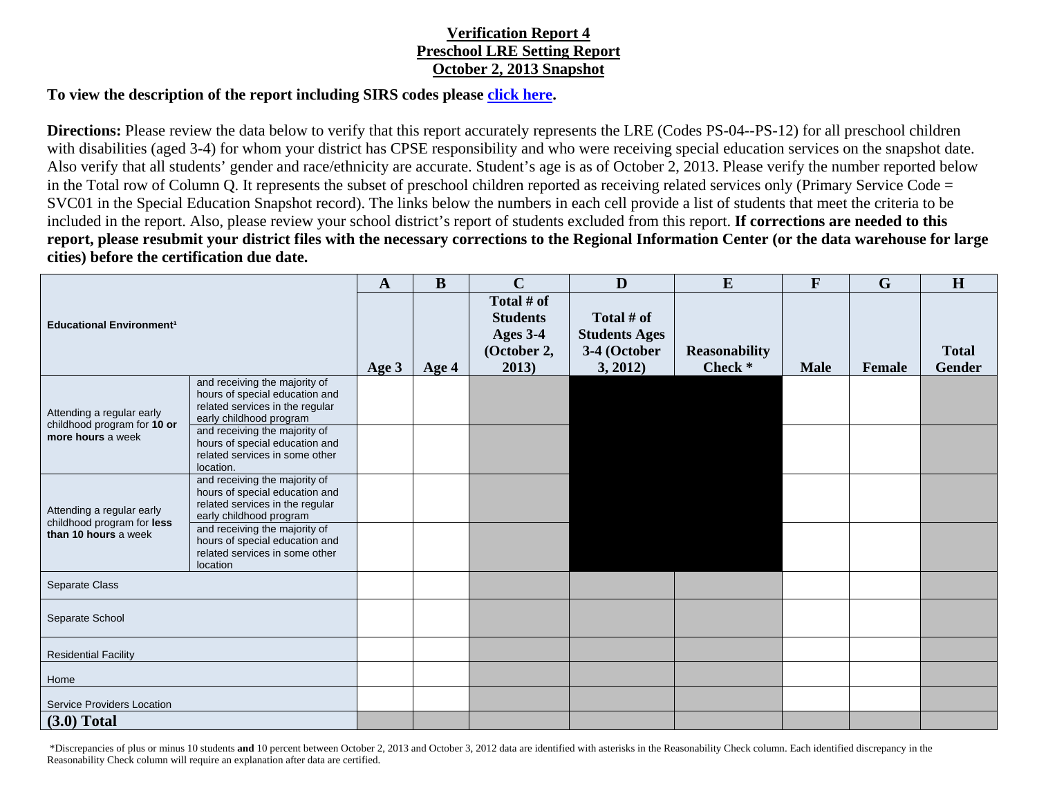## **Verification Report 4 Preschool LRE Setting Report October 2, 2013 Snapshot**

## **To view the description of the report including SIRS codes please click here.**

**Directions:** Please review the data below to verify that this report accurately represents the LRE (Codes PS-04--PS-12) for all preschool children with disabilities (aged 3-4) for whom your district has CPSE responsibility and who were receiving special education services on the snapshot date. Also verify that all students' gender and race/ethnicity are accurate. Student's age is as of October 2, 2013. Please verify the number reported below in the Total row of Column Q. It represents the subset of preschool children reported as receiving related services only (Primary Service Code = SVC01 in the Special Education Snapshot record). The links below the numbers in each cell provide a list of students that meet the criteria to be included in the report. Also, please review your school district's report of students excluded from this report. **If corrections are needed to this report, please resubmit your district files with the necessary corrections to the Regional Information Center (or the data warehouse for large cities) before the certification due date.**

| <b>Educational Environment<sup>1</sup></b>                                      |                                                                                                                               | $\mathbf{A}$ | B     | $\mathbf C$                                                       | D                                                              | E                               | $\mathbf{F}$ | $\mathbf G$   | H                             |
|---------------------------------------------------------------------------------|-------------------------------------------------------------------------------------------------------------------------------|--------------|-------|-------------------------------------------------------------------|----------------------------------------------------------------|---------------------------------|--------------|---------------|-------------------------------|
|                                                                                 |                                                                                                                               | Age 3        | Age 4 | Total # of<br><b>Students</b><br>Ages 3-4<br>(October 2,<br>2013) | Total # of<br><b>Students Ages</b><br>3-4 (October<br>3, 2012) | <b>Reasonability</b><br>Check * | <b>Male</b>  | <b>Female</b> | <b>Total</b><br><b>Gender</b> |
| Attending a regular early<br>childhood program for 10 or<br>more hours a week   | and receiving the majority of<br>hours of special education and<br>related services in the regular<br>early childhood program |              |       |                                                                   |                                                                |                                 |              |               |                               |
|                                                                                 | and receiving the majority of<br>hours of special education and<br>related services in some other<br>location.                |              |       |                                                                   |                                                                |                                 |              |               |                               |
| Attending a regular early<br>childhood program for less<br>than 10 hours a week | and receiving the majority of<br>hours of special education and<br>related services in the regular<br>early childhood program |              |       |                                                                   |                                                                |                                 |              |               |                               |
|                                                                                 | and receiving the majority of<br>hours of special education and<br>related services in some other<br>location                 |              |       |                                                                   |                                                                |                                 |              |               |                               |
| Separate Class                                                                  |                                                                                                                               |              |       |                                                                   |                                                                |                                 |              |               |                               |
| Separate School                                                                 |                                                                                                                               |              |       |                                                                   |                                                                |                                 |              |               |                               |
| <b>Residential Facility</b>                                                     |                                                                                                                               |              |       |                                                                   |                                                                |                                 |              |               |                               |
| Home                                                                            |                                                                                                                               |              |       |                                                                   |                                                                |                                 |              |               |                               |
| <b>Service Providers Location</b>                                               |                                                                                                                               |              |       |                                                                   |                                                                |                                 |              |               |                               |
| $(3.0)$ Total                                                                   |                                                                                                                               |              |       |                                                                   |                                                                |                                 |              |               |                               |

 \*Discrepancies of plus or minus 10 students **and** 10 percent between October 2, 2013 and October 3, 2012 data are identified with asterisks in the Reasonability Check column. Each identified discrepancy in the Reasonability Check column will require an explanation after data are certified.